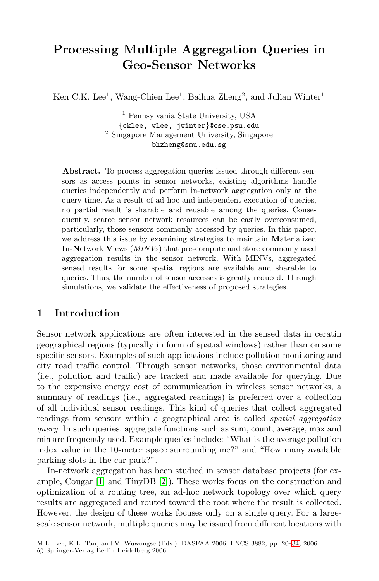# **Processing Multiple Aggregation Queries in Geo-Sensor Networks**

Ken C.K. Lee<sup>1</sup>, Wang-Chien Lee<sup>1</sup>, Baihua Zheng<sup>2</sup>, and Julian Winter<sup>1</sup>

<sup>1</sup> Pennsylvania State University, USA {cklee, wlee, jwinter}@cse.psu.edu <sup>2</sup> Singapore Management University, Singapore bhzheng@smu.edu.sg

**Abstract.** To process aggregation queries issued through different sensors as access points in sensor networks, existing algorithms handle queries independently and perform in-network aggregation only at the query time. As a result of ad-hoc and independent execution of queries, no partial result is sharable and reusable among the queries. Consequently, scarce sensor network resources can be easily overconsumed, particularly, those sensors commonly accessed by queries. In this paper, we address this issue by examining strategies to maintain **M**aterialized **I**n-**N**etwork **V**iews (MINVs) that pre-compute and store commonly used aggregation results in the sensor network. With MINVs, aggregated sensed results for some spatial regions are available and sharable to queries. Thus, the number of sensor accesses is greatly reduced. Through simulations, we validate the effectiveness of proposed strategies.

### **1 Introduction**

Sensor network applications are often interested in the sensed data in ceratin geographical regions (typically in form of spatial windows) rather than on some specific sensors. Examples of such applications include pollution monitoring and city road traffic control. Through sensor networks, those environmental data (i.e., pollution and traffic) are tracked and made available for querying. Due to the expensive energy cost of communication in wireless sensor networks, a summary of [re](#page-14-0)adings (i.e., aggregated readings) is preferred over a collection of all individual sensor readings. This kind of queries that collect aggregated readings from sensors within a geographical area is called spatial aggregation query. In such queries, aggregate functions such as sum, count, average, max and min are frequently used. Example queries include: "What is the average pollution index value in the 10-meter space surrounding me?" and "How many available parking slots in the car park?".

In-network aggregation has been studied in sensor database projects (for example, Cougar [1] and TinyDB [2]). These works focus on the construction and optimization of a routing tree, an ad-hoc network topology over which query results are aggregated and routed toward the root where the result is collected. However, the design of these works focuses only on a single query. For a largescale sensor network, multiple queries may be issued from different locations with

M.L. Lee, K.L. Tan, and V. Wuwongse (Eds.): DASFAA 2006, LNCS 3882, pp. 20–34, 2006. c Springer-Verlag Berlin Heidelberg 2006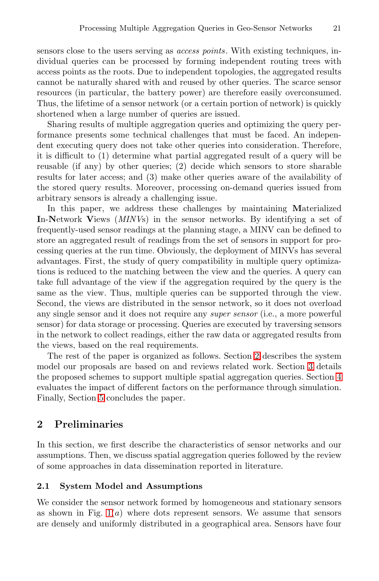sensors close to the users serving as access points. With existing techniques, individual queries can be processed by forming independent routing trees with access points as the roots. Due to independent topologies, the aggregated results cannot be naturally shared with and reused by other queries. The scarce sensor resources (in particular, the battery power) are therefore easily overconsumed. Thus, the lifetime of a sensor network (or a certain portion of network) is quickly shortened when a large number of queries are issued.

Sharing results of multiple aggregation queries and optimizing the query performance presents some technical challenges that must be faced. An independent executing query does not take other queries into consideration. Therefore, it is difficult to (1) determine what partial aggregated result of a query will be reusable (if any) by other queries; (2) decide which sensors to store sharable results for later access; and (3) make other queries aware of the availability of the stored query results. Moreover, processing on-demand queries issued from arbitrary sensors is already a challenging issue.

In this paper, we address these challenges by maintaining **M**aterialized **I**n-**N**etwork **V**iews (MINVs) in the sensor networks. By identifying a set of frequently-used sensor readings at the planning stage, a MINV can be defined to store an aggregated result of readings from the set of sensors in support for processing queries at the run time. Obviously, the deployment of MINVs has several advantages. First, the study of query compatibility in multiple query optimizations is reduced to the matching bet[wee](#page-1-0)n the view and the queries. A query can take full advantage of the view if the aggregation [req](#page-3-0)uired by the query is the same as the view. Thus, multiple queries can be supporte[d](#page-9-0) through the view. Second, the views are distributed in the sensor network, so it does not overload any single sensor and it does not require any super sensor (i.e., a more powerful sensor) for data storage or processing. Queries are executed by traversing sensors in the network to collect readings, either the raw data or aggregated results from the views, based on the real requirements.

<span id="page-1-0"></span>The rest of the paper is organized as follows. Section 2 describes the system model our proposals are based on and reviews related work. Section 3 details the proposed schemes to support multiple spatial aggregation queries. Section 4 evaluates the impact of different factors on the performance through simulation. Finally, Section 5 concludes the paper.

### **[2](#page-2-0) Preliminaries**

In this section, we first describe the characteristics of sensor networks and our assumptions. Then, we discuss spatial aggregation queries followed by the review of some approaches in data dissemination reported in literature.

#### **2.1 System Model and Assumptions**

We consider the sensor network formed by homogeneous and stationary sensors as shown in Fig.  $1(a)$  where dots represent sensors. We assume that sensors are densely and uniformly distributed in a geographical area. Sensors have four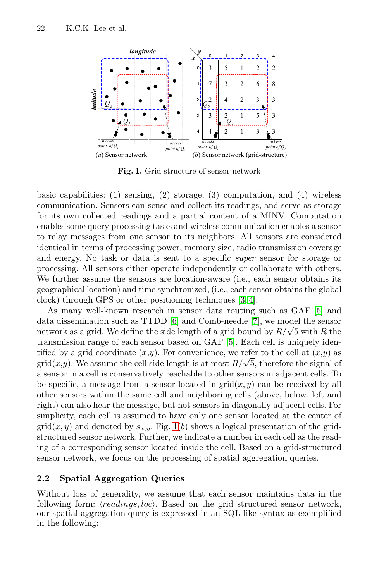<span id="page-2-0"></span>

**Fig. 1.** Grid structure of sensor network

basic capabilities: (1) sensing, (2) storage, (3) computation, and (4) wireless communication. Sensors can sense and collect its readings, and serve as storage for its own collected readings an[d](#page-14-1) [a p](#page-14-2)artial content of a MINV. Computation enables some query processing tasks and wireless com[mu](#page-14-3)nication enables a sensor to relay messag[es](#page-14-4) from one sensor t[o i](#page-14-5)ts neighbors. All sensors are considered identical in terms of processing power, memory size, radio transmission coverage and energy. No task or data [is](#page-14-3) sent to a specific super sensor for storage or processing. All sensors either operate independently or collaborate with others. We further assume the sensors are location-aware (i.e., each sensor obtains its geographical location) and time synchronized, (i.e., each sensor obtains the global clock) through GPS or other positioning techniques [3, 4].

As many well-known research in sensor data routing such as GAF [5] and data dissemination such as TTDD [6] and Comb-needle [7], we model the sensor network as a grid. We define the side length of a grid bound by  $R/\sqrt{5}$  with R the transmission ra[nge](#page-2-0) of each sensor based on GAF [5]. Each cell is uniquely identified by a grid coordinate  $(x,y)$ . For convenience, we refer to the cell at  $(x,y)$  as the correlation of the cell side length is at most  $R/\sqrt{5}$ , therefore the signal of grid(x,y). We assume the cell side length is at most  $R/\sqrt{5}$ , therefore the signal of a sensor in a cell is conservatively reachable to other sensors in adjacent cells. To be specific, a message from a sensor located in  $\text{grid}(x, y)$  can be received by all other sensors within the same cell and neighboring cells (above, below, left and right) can also hear the message, but not sensors in diagonally adjacent cells. For simplicity, each cell is assumed to have only one sensor located at the center of  $\text{grid}(x, y)$  and denoted by  $s_{x,y}$ . Fig. 1(b) shows a logical presentation of the gridstructured sensor network. Further, we indicate a number in each cell as the reading of a corresponding sensor located inside the cell. Based on a grid-structured sensor network, we focus on the processing of spatial aggregation queries.

#### **2.2 Spatial Aggregation Queries**

Without loss of generality, we assume that each sensor maintains data in the following form:  $\langle readings,loc\rangle$ . Based on the grid structured sensor network, our spatial aggregation query is expressed in an SQL-like syntax as exemplified in the following: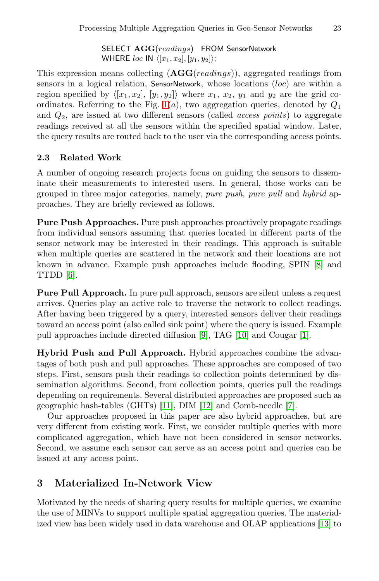SELECT **AGG**(readings) FROM SensorNetwork WHERE  $loc$  IN  $\langle [x_1, x_2], [y_1, y_2] \rangle$ ;

This expression means collecting (**AGG**(readings)), aggregated readings from sensors in a logical relation, SensorNetwork, whose locations (loc) are within a region specified by  $\langle [x_1, x_2], [y_1, y_2] \rangle$  where  $x_1, x_2, y_1$  and  $y_2$  are the grid coordinates. Referring to the Fig.  $1(a)$ , two aggregation queries, denoted by  $Q_1$ and  $Q_2$ , are issued at two different sensors (called *access points*) to aggregate readings received at all the sensors within the specified spatial window. Later, the query results are routed back to the user via the corresponding access points.

#### **2.3 Related Work**

A number of ongoing research projects focus on guiding the sensors to disseminate their measurements to interested users. In ge[ner](#page-14-6)al, those works can be grouped in three major categories, namely, pure push, pure pull and hybrid approaches. They are briefly reviewed as follows.

**Pure Push Approaches.** Pure push approaches proactively propagate readings from individual sensors assuming that queries located in different parts of the sensor network may be interested in their readings. This approach is suitable when multiple queries [are](#page-14-7) scatte[red](#page-14-8) in the netwo[rk](#page-14-9) and their locations are not known in advance. Example push approaches include flooding, SPIN [8] and TTDD [6].

**Pure Pull Approach.** In pure pull approach, sensors are silent unless a request arrives. Queries play an active role to traverse the network to collect readings. After having been triggered by a query, interested sensors deliver their readings toward an ac[cess](#page-14-10) point ([also](#page-14-11) called sink point) [wh](#page-14-5)ere the query is issued. Example pull approaches include directed diffusion [9], TAG [10] and Cougar [1].

**Hybrid Push and Pull Approach.** Hybrid approaches combine the advantages of both push and pull approaches. These approaches are composed of two steps. First, sensors push their readings to collection points determined by dissemination algorithms. Second, from collection points, queries pull the readings depending on requirements. Several distributed approaches are proposed such as geographic hash-tables (GHTs) [11], DIM [12] and Comb-needle [7].

<span id="page-3-0"></span>Our approaches proposed in this paper are also hybrid approaches, but are very different from existing work. First, we consider multiple queries with more complicated aggregation, which have not been consi[dere](#page-14-12)d in sensor networks. Second, we assume each sensor can serve as an access point and queries can be issued at any access point.

### **3 Materialized In-Network View**

Motivated by the needs of sharing query results for multiple queries, we examine the use of MINVs to support multiple spatial aggregation queries. The materialized view has been widely used in data warehouse and OLAP applications [13] to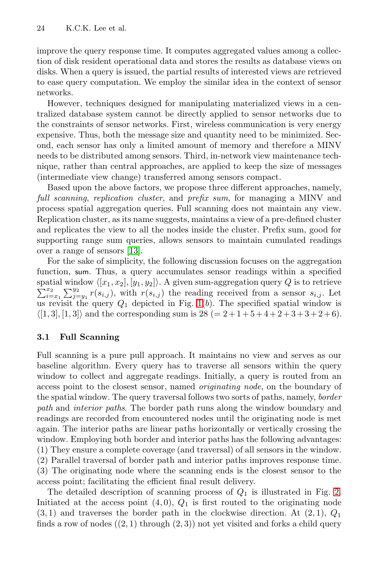improve the query response time. It computes aggregated values among a collection of disk resident operational data and stores the results as database views on disks. When a query is issued, the partial results of interested views are retrieved to ease query computation. We employ the similar idea in the context of sensor networks.

However, techniques designed for manipulating materialized views in a centralized database system cannot be directly applied to sensor networks due to the constraints of sensor networks. First, wireless communication is very energy expensive. Thus, both the message size and quantity need to be minimized. Second, each sensor has only a limited amount of memory and therefore a MINV needs to be distributed among sensors. Third, in-network view maintenance techniqu[e, r](#page-14-12)ather than central approaches, are applied to keep the size of messages (intermediate view change) transferred among sensors compact.

Based upon the above factors, we propose three different approaches, namely, full scanning, replication cluster, and prefix sum, for managing a MINV and process spatial aggregation queries. Full scanning does not maintain any view. Replication cluster, as [its](#page-2-0) name suggests, maintains a view of a pre-defined cluster and replicates the view to all the nodes inside the cluster. Prefix sum, good for supporting range sum queries, allows sensors to maintain cumulated readings over a range of sensors [13].

For the sake of simplicity, the following discussion focuses on the aggregation function, sum. Thus, a query accumulates sensor readings within a specified  $\sum_{i=x_1}^{x_2} \sum_{j=y_1}^{y_2} r(s_{i,j}),$  with  $r(s_{i,j})$  the reading received from a sensor  $s_{i,j}$ . Let spatial window  $\langle [x_1, x_2], [y_1, y_2] \rangle$ . A given sum-aggregation query Q is to retrieve  $\sum_{x_1}^{x_2} \sum_{y_1}^{y_2} x_1(x_1)$ , with  $x(x_1)$  the reading required from a sensor  $x_1$ . us revisit the query  $Q_1$  depicted in Fig. 1(b). The specified spatial window is  $\langle [1,3], [1,3] \rangle$  and the corresponding sum is  $28 (= 2+1+5+4+2+3+3+2+6)$ .

#### **3.1 Full Scanning**

Full scanning is a pure pull approach. It maintains no view and serves as our baseline algorithm. Every query has to traverse all sensors within the query window to collect and aggregate readings. Initially, a query is routed from an access point to the closest sensor, named originating node, on the boundary of the spatial window. The query traversal follows two sorts of paths, namely, border path and interior paths. The border path runs along the [win](#page-5-0)dow boundary and readings are recorded from encountered nodes until the originating node is met again. The interior paths are linear paths horizontally or vertically crossing the window. Employing both border and interior paths has the following advantages: (1) They ensure a complete coverage (and traversal) of all sensors in the window. (2) Parallel traversal of border path and interior paths improves response time. (3) The originating node where the scanning ends is the closest sensor to the access point; facilitating the efficient final result delivery.

The detailed description of scanning process of  $Q_1$  is illustrated in Fig. 2. Initiated at the access point  $(4, 0)$ ,  $Q_1$  is first routed to the originating node  $(3, 1)$  and traverses the border path in the clockwise direction. At  $(2, 1)$ ,  $Q_1$ finds a row of nodes  $((2, 1)$  through  $(2, 3)$ ) not yet visited and forks a child query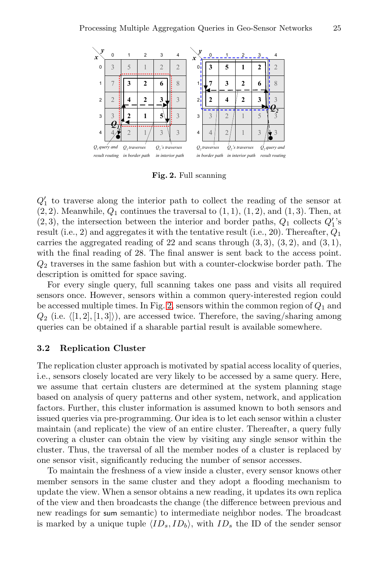<span id="page-5-0"></span>

**Fig. 2.** Full scanning

 $Q'_1$  to traverse along the interior path to collect the reading of the sensor at  $(2, 2)$ . Meanwhile,  $Q_1$  continues the traversal to  $(1, 1)$ ,  $(1, 2)$ , and  $(1, 3)$ . Then, at  $(2, 3)$ , the inte[rse](#page-5-0)ction between the interior and border paths,  $Q_1$  collects  $Q'_1$ 's result (i.e., 2) and aggregates it with the tentative result (i.e., 20). Thereafter,  $Q_1$ carries the aggregated reading of 22 and scans through  $(3, 3)$ ,  $(3, 2)$ , and  $(3, 1)$ , with the final reading of 28. The final answer is sent back to the access point.  $Q_2$  traverses in the same fashion but with a counter-clockwise border path. The description is omitted for space saving.

For every single query, full scanning takes one pass and visits all required sensors once. However, sensors within a common query-interested region could be accessed multiple times. In Fig. 2, sensors within the common region of  $Q_1$  and  $Q_2$  (i.e.  $\langle [1,2], [1,3] \rangle$ ), are accessed twice. Therefore, the saving/sharing among queries can be obtained if a sharable partial result is available somewhere.

#### **3.2 Replication Cluster**

The replication cluster approach is motivated by spatial access locality of queries, i.e., sensors closely located are very likely to be accessed by a same query. Here, we assume that certain clusters are determined at the system planning stage based on analysis of query patterns and other system, network, and application factors. Further, this cluster information is assumed known to both sensors and issued queries via pre-programming. Our idea is to let each sensor within a cluster maintain (and replicate) the view of an entire cluster. Thereafter, a query fully covering a cluster can obtain the view by visiting any single sensor within the cluster. Thus, the traversal of all the member nodes of a cluster is replaced by one sensor visit, significantly reducing the number of sensor accesses.

To maintain the freshness of a view inside a cluster, every sensor knows other member sensors in the same cluster and they adopt a flooding mechanism to update the view. When a sensor obtains a new reading, it updates its own replica of the view and then broadcasts the change (the difference between previous and new readings for sum semantic) to intermediate neighbor nodes. The broadcast is marked by a unique tuple  $\langle ID_s, ID_b \rangle$ , with  $ID_s$  the ID of the sender sensor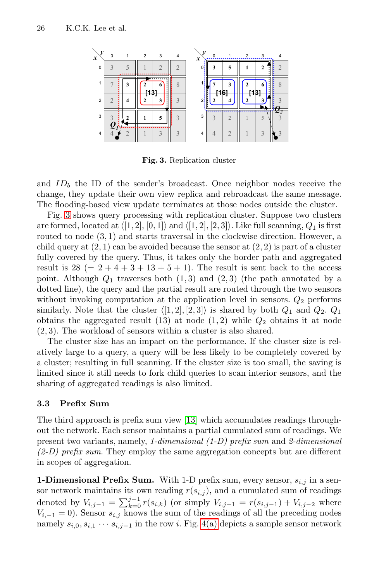| x              | $\Omega$ | $\overline{2}$ | 3 | $\boldsymbol{x}$ |             | 2       | 3 |  |
|----------------|----------|----------------|---|------------------|-------------|---------|---|--|
| $\mathbf 0$    |          |                |   | 0:               |             |         |   |  |
|                |          |                |   |                  |             |         |   |  |
| $\overline{2}$ |          |                |   |                  |             |         |   |  |
| 3              |          |                | ٩ | 3                | <br>------- | ------- |   |  |
| $\overline{4}$ |          |                |   | 4                |             |         |   |  |

**Fig. 3.** Replication cluster

and  $ID<sub>b</sub>$  the ID of the sender's broadcast. Once neighbor nodes receive the change, they update their own view replica and rebroadcast the same message. The flooding-based view update terminates at those nodes outside the cluster.

Fig. 3 shows query processing with replication cluster. Suppose two clusters are formed, located at  $\langle [1, 2], [0, 1] \rangle$  and  $\langle [1, 2], [2, 3] \rangle$ . Like full scanning,  $Q_1$  is first routed to node (3, 1) and starts traversal in the clockwise direction. However, a child query at  $(2, 1)$  can be avoided because the sensor at  $(2, 2)$  is part of a cluster fully covered by the query. Thus, it takes only the border path and aggregated result is  $28 (= 2 + 4 + 3 + 13 + 5 + 1)$ . The result is sent back to the access point. Although  $Q_1$  traverses both  $(1,3)$  and  $(2,3)$  (the path annotated by a dotted line), the query and the partial result are routed through the two sensors without invoking computation at the application level in sensors.  $Q_2$  performs similarly. Note that the cluster  $\langle [1, 2], [2, 3] \rangle$  is shared by both  $Q_1$  and  $Q_2$ .  $Q_1$ obtains the aggregated result (13) at node (1,2) while  $Q_2$  obtains it at node (2, 3). The workload of sensors within a cluster is also shared.

The cluster size [has](#page-14-12) an impact on the performance. If the cluster size is relatively large to a query, a query will be less likely to be completely covered by a cluster; resulting in full scanning. If the cluster size is too small, the saving is limited since it still needs to fork child queries to scan interior sensors, and the sharing of aggregated readings is also limited.

#### **3.3 Prefix Sum**

The third approach is prefix sum view [13] which accumulates readings throughout the network. Each sensor maintains a partial cumulated sum of readings. We present two variants, na[mely,](#page-7-0) 1-dimensional (1-D) prefix sum and 2-dimensional  $(2-D)$  prefix sum. They employ the same aggregation concepts but are different in scopes of aggregation.

**1-Dimensional Prefix Sum.** With 1-D prefix sum, every sensor,  $s_{i,j}$  in a sensor network maintains its own reading  $r(s_{i,j})$ , and a cumulated sum of readings denoted by  $V_{i,j-1} = \sum_{k=0}^{j-1} r(s_{i,k})$  (or simply  $V_{i,j-1} = r(s_{i,j-1}) + V_{i,j-2}$  where  $V_{i,-1} = 0$ ). Sensor  $s_{i,j}$  knows the sum of the readings of all the preceding nodes namely  $s_{i,0}, s_{i,1} \cdots s_{i,j-1}$  in the row i. Fig. 4(a) depicts a sample sensor network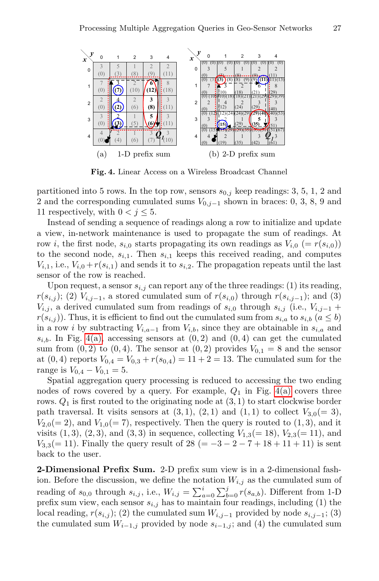<span id="page-7-0"></span>

**Fig. 4.** Linear Access on a Wireless Broadcast Channel

partitioned into 5 rows. In the top row, sensors  $s_{0,j}$  keep readings: 3, 5, 1, 2 and 2 and the corresponding cumulated sums  $V_{0,j-1}$  shown in braces: 0, 3, 8, 9 and 11 respectively, with  $0 < j \leq 5$ .

Instead of sending a sequence of readings along a row to initialize and update a view, in-network maintenance is used to propagate the sum of readings. At row *i*, the first node,  $s_{i,0}$  starts propagating its own readings as  $V_{i,0}$  (=  $r(s_{i,0})$ ) to the second node,  $s_{i,1}$ . Then  $s_{i,1}$  keeps this received reading, and computes  $V_{i,1}$ , i.e.,  $V_{i,0} + r(s_{i,1})$  and sends it to  $s_{i,2}$ . The propagation repeats until the last sensor of the row is reached.

Upon request, a sensor  $s_{i,j}$  can report any of the three readings: (1) its reading,  $r(s_{i,j});$  (2)  $V_{i,j-1}$ , a stored cumulated sum of  $r(s_{i,0})$  through  $r(s_{i,j-1});$  and (3)  $V_{i,j}$ , a derived cumulated sum from readi[ngs of](#page-7-0)  $s_{i,0}$  through  $s_{i,j}$  (i.e.,  $V_{i,j-1}$  +  $r(s_{i,j})$ ). Thus, it is efficient to find out the cumulated sum from  $s_{i,a}$  to  $s_{i,b}$  ( $a \le b$ ) in a row i by subtracting  $V_{i,a-1}$  from  $V_{i,b}$ , since they are obtainable in  $s_{i,a}$  and  $s_{i,b}$ . In Fig. 4(a), accessing sensors at  $(0, 2)$  and  $(0, 4)$  can get the cumulated sum from  $(0, 2)$  to  $(0, 4)$ . The sensor at  $(0, 2)$  provides  $V_{0,1} = 8$  and the sensor at  $(0, 4)$  reports  $V_{0,4} = V_{0,3} + r(s_{0,4}) = 11 + 2 = 13$ . The cumulated sum for the range is  $V_{0,4} - V_{0,1} = 5$ .

Spatial aggregation query processing is reduced to accessing the two ending nodes of rows covered by a query. For example,  $Q_1$  in Fig. 4(a) covers three rows.  $Q_1$  is first routed to the originating node at  $(3, 1)$  to start clockwise border path traversal. It visits sensors at  $(3, 1), (2, 1)$  and  $(1, 1)$  to collect  $V_{3,0}(=3)$ ,  $V_{2,0}(=2)$ , and  $V_{1,0}(=7)$ , respectively. Then the query is routed to  $(1,3)$ , and it visits  $(1, 3), (2, 3),$  and  $(3, 3)$  in sequence, collecting  $V_{1,3}(=18), V_{2,3}(=11),$  and  $V_{3,3}(=11)$ . Finally the query result of 28 (= -3 - 2 - 7 + 18 + 11 + 11) is sent back to the user.

**2-Dimensional Prefix Sum.** 2-D prefix sum view is in a 2-dimensional fashion. Before the discussion, we define the notation  $W_{i,j}$  as the cumulated sum of reading of  $s_{0,0}$  through  $s_{i,j}$ , i.e.,  $W_{i,j} = \sum_{a=0}^{i} \sum_{b=0}^{j} r(s_{a,b})$ . Different from 1-D prefix sum view, each sensor  $s_{i,j}$  has to maintain four readings, including (1) the local reading,  $r(s_{i,j});$  (2) the cumulated sum  $W_{i,j-1}$  provided by node  $s_{i,j-1};$  (3) the cumulated sum  $W_{i-1,j}$  provided by node  $s_{i-1,j}$ ; and (4) the cumulated sum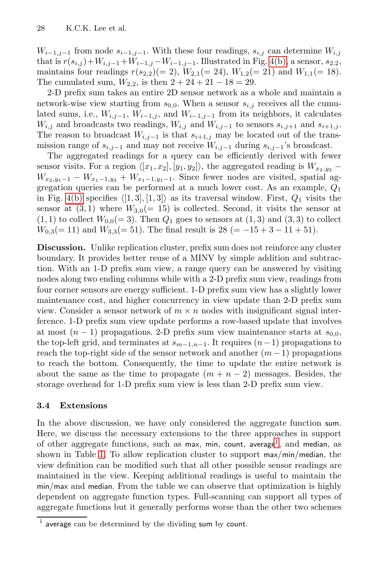$W_{i-1,j-1}$  from node  $s_{i-1,j-1}$ . With these four readings,  $s_{i,j}$  can determine  $W_{i,j}$ that is  $r(s_{i,j})+W_{i,j-1}+W_{i-1,j}-W_{i-1,j-1}$ . Illustrated in Fig. 4(b), a sensor,  $s_{2,2}$ , maintains four readings  $r(s_{2,2})(= 2)$ ,  $W_{2,1}(= 24)$ ,  $W_{1,2}(= 21)$  and  $W_{1,1}(= 18)$ . The cumulated sum,  $W_{2,2}$ , is then  $2 + 24 + 21 - 18 = 29$ .

2-D prefix sum takes an entire 2D sensor network as a whole and maintain a network-wise view starting from  $s_{0,0}$ . When a sensor  $s_{i,j}$  receives all the cumulated sums, i.e.,  $W_{i,j-1}$ ,  $W_{i-1,j}$ , and  $W_{i-1,j-1}$  from its neighbors, it calculates  $W_{i,j}$  and broadcasts two readings,  $W_{i,j}$  and  $W_{i,j-1}$  to sensors  $s_{i,j+1}$  and  $s_{i+1,j}$ . The reason to broadcast  $W_{i,j-1}$  is that  $s_{i+1,j}$  may be located out of the transmission range of  $s_{i,j-1}$  and may not receive  $W_{i,j-1}$  during  $s_{i,j-1}$ 's broadcast.

The aggregated readings for a query can be efficiently derived with fewer sensor visits. For a region  $\langle [x_1, x_2], [y_1, y_2] \rangle$ , the aggregated reading is  $W_{x_2, y_2}$  –  $W_{x_2,y_1-1} - W_{x_1-1,y_2} + W_{x_1-1,y_1-1}$ . Since fewer nodes are visited, spatial aggregation queries can be performed at a much lower cost. As an example,  $Q_1$ in Fig. 4(b) specifies  $\langle [1,3],[1,3] \rangle$  as its traversal window. First,  $Q_1$  visits the sensor at  $(3,1)$  where  $W_{3,0} (= 15)$  is collected. Second, it visits the sensor at  $(1, 1)$  to collect  $W_{0,0} (= 3)$ . Then  $Q_1$  goes to sensors at  $(1, 3)$  and  $(3, 3)$  to collect  $W_{0,3}(=11)$  and  $W_{3,3}(=51)$ . The final result is  $28 (= -15 + 3 - 11 + 51)$ .

**Discussion.** Unlike replication cluster, prefix sum does not reinforce any cluster boundary. It provides better reuse of a MINV by simple addition and subtraction. With an 1-D prefix sum view, a range query can be answered by visiting nodes along two ending columns while with a 2-D prefix sum view, readings from four corner sensors are energy sufficient. 1-D prefix sum view has a slightly lower maintenance cost, and higher concurrency in view update than 2-D prefix sum view. Consider a sensor network of  $m \times n$  nodes with insignificant signal interference. 1-D prefix sum view update performs a row-based update that involves at most  $(n-1)$  propagations. 2-D prefix sum view maintenance starts at  $s_{0,0}$ , the top-left grid, and terminates at  $s_{m-1,n-1}$ . It requires  $(n-1)$  propagations to reach the top-right side of the sensor network and another  $(m-1)$  propagations to reach the bottom. Consequently, the t[im](#page-8-0)e to update the entire network is about the same as the time to propagate  $(m + n - 2)$  messages. Besides, the storage overhead for 1-D prefix sum view is less than 2-D prefix sum view.

#### **3.4 Extensions**

<span id="page-8-0"></span>In the above discussion, we have only considered the aggregate function sum. Here, we discuss the necessary extensions to the three approaches in support of other aggregate functions, such as max, min, count, average<sup>1</sup>, and median, as shown in Table 1. To allow replication cluster to support max/min/median, the view definition can be modified such that all other possible sensor readings are maintained in the view. Keeping additional readings is useful to maintain the min/max and median. From the table we can observe that optimization is highly dependent on aggregate function types. Full-scanning can support all types of aggregate functions but it generally performs worse than the other two schemes

 $<sup>1</sup>$  average can be determined by the dividing sum by count.</sup>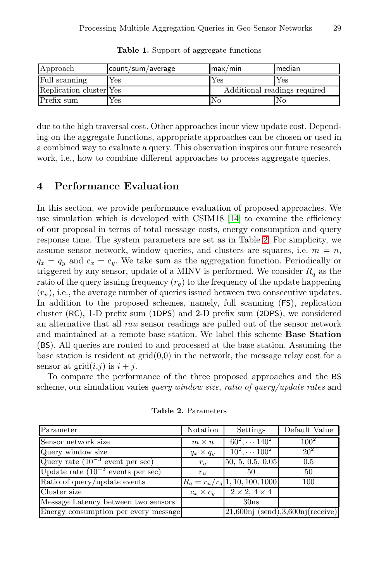| Approach                | count/sum/average | max/min | median                       |
|-------------------------|-------------------|---------|------------------------------|
| Full scanning           | Yes               | Yes     | Yes                          |
| Replication cluster Yes |                   |         | Additional readings required |
| Prefix sum              | Yes               | No      | No                           |

**Table 1.** Support of aggregate functions

<span id="page-9-0"></span>due to the high traversal cost. Other approaches incur view update cost. Depending on the aggregate functions, [app](#page-14-13)ropriate approaches can be chosen or used in a combined way to evaluate a query. This observation inspires our future research work, i.e., how to combine different app[ro](#page-9-1)aches to process aggregate queries.

### **4 Performance Evaluation**

In this section, we provide performance evaluation of proposed approaches. We use simulation which is developed with CSIM18 [14] to examine the efficiency of our proposal in terms of total message costs, energy consumption and query response time. The system parameters are set as in Table 2. For simplicity, we assume sensor network, window queries, and clusters are squares, i.e.  $m = n$ ,  $q_x = q_y$  and  $c_x = c_y$ . We take sum as the aggregation function. Periodically or triggered by any sensor, update of a MINV is performed. We consider  $R_q$  as the ratio of the query issuing frequency  $(r_q)$  to the frequency of the update happening  $(r_u)$ , i.e., the average number of queries issued between two consecutive updates. In addition to the proposed schemes, namely, full scanning (FS), replication cluster (RC), 1-D prefix sum (1DPS) and 2-D prefix sum (2DPS), we considered an alternative that all  $raw$  sensor readings are pulled out of the sensor network and maintained at a remote base station. We label this scheme **Base Station** (BS). All queries are routed to and processed at the base station. Assuming the base station is resident at  $\text{grid}(0,0)$  in the network, the message relay cost for a sensor at  $\text{grid}(i,j)$  is  $i + j$ .

<span id="page-9-1"></span>To compare the performance of the three proposed approaches and the BS scheme, our simulation varies query window size, ratio of query/update rates and

| Parameter                              | Notation         | Settings                                      | Default Value                           |
|----------------------------------------|------------------|-----------------------------------------------|-----------------------------------------|
| Sensor network size                    | $m \times n$     | $60^2 \cdots 140^2$                           | $100^2$                                 |
| Query window size                      | $q_x \times q_y$ | $10^2, \cdots 100^2$                          | $20^{2}$                                |
| Query rate $(10^{-3}$ event per sec)   | $r_a$            | 50, 5, 0.5, 0.05                              | 0.5                                     |
| Update rate $(10^{-3}$ events per sec) | $r_u$            | 50                                            | 50                                      |
| Ratio of query/update events           |                  | $R_q = r_u/r_q   1, 10, \overline{100, 1000}$ | 100                                     |
| Cluster size                           | $c_x \times c_y$ | $2 \times 2$ , $4 \times 4$                   |                                         |
| Message Latency between two sensors    |                  | 30 <sub>ns</sub>                              |                                         |
| Energy consumption per every message   |                  |                                               | $21,600$ nj (send), $3,600$ nj(receive) |

**Table 2.** Parameters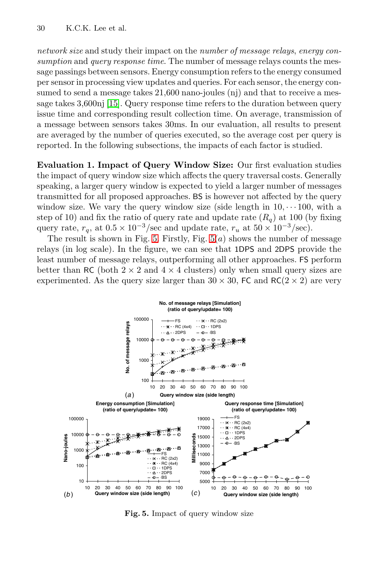network size and study their impact on the number of message relays, energy consumption and *query response time*. The number of message relays counts the message passings between sensors. Energy consumption refers to the energy consumed per sensor in processing view updates and queries. For each sensor, the energy consumed to send a message takes 21,600 nano-joules (nj) and that to receive a message takes 3,600nj [15]. Query response time refers to the duration between query issue time and corresponding result collection time. On average, transmission of a message between sensors takes 30ms. In our evaluation, all results to present are averaged by the number of queries executed, so the average cost per query is reported. In the following subsections, the impacts of each factor is studied.

**Evaluatio[n](#page-10-0) 1. Impact [of](#page-10-0) Query Window Size:** Our first evaluation studies the impact of query window size which affects the query traversal costs. Generally speaking, a larger query window is expected to yield a larger number of messages transmitted for all proposed approaches. BS is however not affected by the query window size. We vary the query window size (side length in  $10, \cdots 100$ , with a step of 10) and fix the ratio of query rate and update rate  $(R_q)$  at 100 (by fixing query rate,  $r_q$ , at  $0.5 \times 10^{-3}$ /sec and update rate,  $r_u$  at  $50 \times 10^{-3}$ /sec).

The result is shown in Fig. 5. Firstly, Fig.  $5(a)$  shows the number of message relays (in log scale). In the figure, we can see that 1DPS and 2DPS provide the least number of message relays, outperforming all other approaches. FS perform better than RC (both  $2 \times 2$  and  $4 \times 4$  clusters) only when small query sizes are experimented. As the query size larger than  $30 \times 30$ , FC and RC( $2 \times 2$ ) are very



<span id="page-10-0"></span>**Fig. 5.** Impact of query window size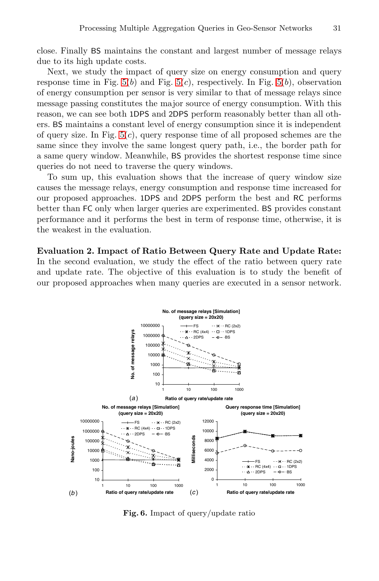cl[ose](#page-10-0). Finally BS maintains the constant and largest number of message relays due to its high update costs.

Next, we study the impact of query size on energy consumption and query response time in Fig.  $5(b)$  and Fig.  $5(c)$ , respectively. In Fig.  $5(b)$ , observation of energy consumption per sensor is very similar to that of message relays since message passing constitutes the major source of energy consumption. With this reason, we can see both 1DPS and 2DPS perform reasonably better than all others. BS maintains a constant level of energy consumption since it is independent of query size. In Fig.  $5(c)$ , query response time of all proposed schemes are the same since they involve the same longest query path, i.e., the border path for a same query window. Meanwhile, BS provides the shortest response time since queries do not need to traverse the query windows.

To sum up, this evaluation shows that the increase of query window size causes the message relays, energy consumption and response time increased for our proposed approaches. 1DPS and 2DPS perform the best and RC performs better than FC only when larger queries are experimented. BS provides constant performance and it performs the best in term of response time, otherwise, it is the weakest in the evaluation.

### **Evaluation 2. Impact of Ratio Between Query Rate and Update Rate:** In the second evaluation, we study the effect of the ratio between query rate and update rate. The objective of this evaluation is to study the benefit of our proposed approaches when many queries are executed in a sensor network.



<span id="page-11-0"></span>**Fig. 6.** Impact of query/update ratio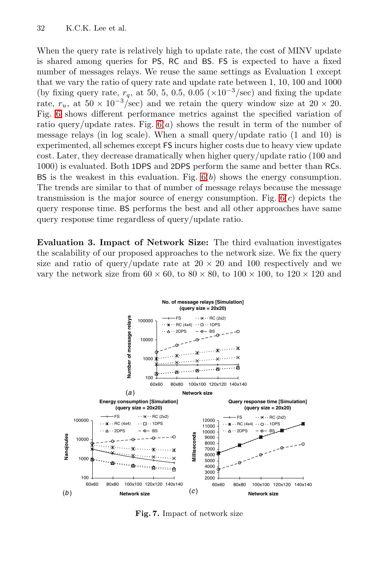When the q[ue](#page-11-0)ry rate is relatively high to update rate, the cost of MINV update is shared among queries for PS, RC and BS. FS is expected to have a fixed number of messages relays. We reuse the same settings as Evaluation 1 except that we vary the ratio of query rate and update rate between 1, 10, 100 and 1000 (by fixing query rate[,](#page-11-0)  $r_q$ , at 50, 5, 0.5, 0.05 (×10<sup>-3</sup>/sec) and fixing the update rate,  $r_u$ , at  $50 \times 10^{-3}$ /sec) and we retain the query window size at  $20 \times 20$ . Fig. 6 shows different performance metric[s a](#page-11-0)gainst the specified variation of ratio query/update rates. Fig.  $6(a)$  shows the result in term of the number of message relays (in log scale). When a small query/update ratio (1 and 10) is experimented, all schemes except FS incurs higher costs due to heavy view update cost. Later, they decrease dramatically when higher query/update ratio (100 and 1000) is evaluated. Both 1DPS and 2DPS perform the same and better than RCs. BS is the weakest in this evaluation. Fig.  $6(b)$  shows the energy consumption. The trends are similar to that of number of message relays because the message transmission is the major source of energy consumption. Fig.  $6(c)$  depicts the query response time. BS performs the best and all other approaches have same query response time regardless of query/update ratio.

**Evaluation 3. Impact of Network Size:** The third evaluation investigates the scalability of our proposed approaches to the network size. We fix the query size and ratio of query/update rate at  $20 \times 20$  and 100 respectively and we vary the network size from  $60 \times 60$ , to  $80 \times 80$ , to  $100 \times 100$ , to  $120 \times 120$  and



<span id="page-12-0"></span>**Fig. 7.** Impact of network size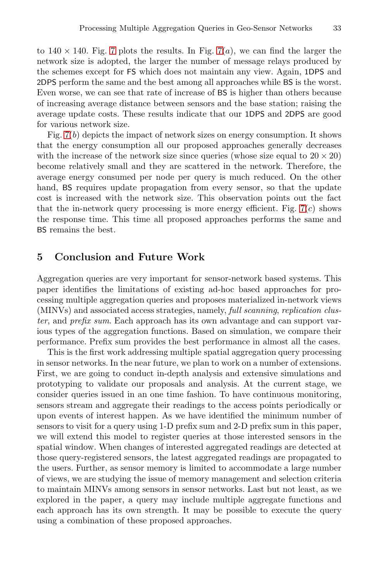to  $140 \times 140$ . Fig. 7 plots the results. In Fig. 7(*a*), we can find the larger the network size is adopted, the larger the number of message relays produced by the schemes except for FS which does not maintain any view. Again, 1DPS and 2DPS perform the same and the best among all approaches while BS is the worst. Even worse, we can see that rate of increase of BS is higher than others because of increasing average distance between sensors and the base station; raising the average update costs. These results indicate that our 1DPS and 2DPS are good for various network size.

Fig. 7(b) depicts the impact of network sizes on [en](#page-12-0)ergy consumption. It shows that the energy consumption all our proposed approaches generally decreases with the increase of the network size since queries (whose size equal to  $20 \times 20$ ) become relatively small and they are scattered in the network. Therefore, the average energy consumed per node per query is much reduced. On the other hand, BS requires update propagation from every sensor, so that the update cost is increased with the network size. This observation points out the fact that the in-network query processing is more energy efficient. Fig.  $7(c)$  shows the response time. This time all proposed approaches performs the same and BS remains the best.

### **5 Conclusion and Future Work**

Aggregation queries are very important for sensor-network based systems. This paper identifies the limitations of existing ad-hoc based approaches for processing multiple aggregation queries and proposes materialized in-network views (MINVs) and associated access strategies, namely, full scanning, replication cluster, and prefix sum. Each approach has its own advantage and can support various types of the aggregation functions. Based on simulation, we compare their performance. Prefix sum provides the best performance in almost all the cases.

This is the first work addressing multiple spatial aggregation query processing in sensor networks. In the near future, we plan to work on a number of extensions. First, we are going to conduct in-depth analysis and extensive simulations and prototyping to validate our proposals and analysis. At the current stage, we consider queries issued in an one time fashion. To have continuous monitoring, sensors stream and aggregate their readings to the access points periodically or upon events of interest happen. As we have identified the minimum number of sensors to visit for a query using 1-D prefix sum and 2-D prefix sum in this paper, we will extend this model to register queries at those interested sensors in the spatial window. When changes of interested aggregated readings are detected at those query-registered sensors, the latest aggregated readings are propagated to the users. Further, as sensor memory is limited to accommodate a large number of views, we are studying the issue of memory management and selection criteria to maintain MINVs among sensors in sensor networks. Last but not least, as we explored in the paper, a query may include multiple aggregate functions and each approach has its own strength. It may be possible to execute the query using a combination of these proposed approaches.